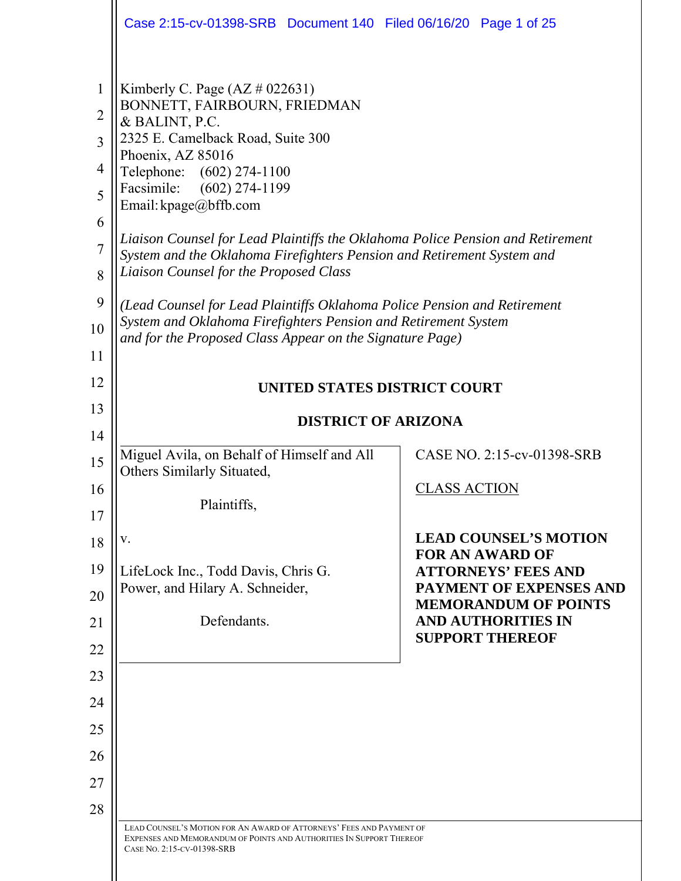|                                                                               | Case 2:15-cv-01398-SRB  Document 140  Filed 06/16/20  Page 1 of 25                                                                                                                                                                                                                                                                                                                                                                                                                                                                                                                                                                                    |                                                          |  |
|-------------------------------------------------------------------------------|-------------------------------------------------------------------------------------------------------------------------------------------------------------------------------------------------------------------------------------------------------------------------------------------------------------------------------------------------------------------------------------------------------------------------------------------------------------------------------------------------------------------------------------------------------------------------------------------------------------------------------------------------------|----------------------------------------------------------|--|
| $\mathbf{1}$<br>$\overline{2}$<br>3<br>4<br>5<br>6<br>7<br>8<br>9<br>10<br>11 | Kimberly C. Page $(AZ \# 022631)$<br>BONNETT, FAIRBOURN, FRIEDMAN<br>& BALINT, P.C.<br>2325 E. Camelback Road, Suite 300<br>Phoenix, AZ 85016<br>Telephone: (602) 274-1100<br>Facsimile:<br>$(602)$ 274-1199<br>Email: kpage@bffb.com<br>Liaison Counsel for Lead Plaintiffs the Oklahoma Police Pension and Retirement<br>System and the Oklahoma Firefighters Pension and Retirement System and<br>Liaison Counsel for the Proposed Class<br>(Lead Counsel for Lead Plaintiffs Oklahoma Police Pension and Retirement<br>System and Oklahoma Firefighters Pension and Retirement System<br>and for the Proposed Class Appear on the Signature Page) |                                                          |  |
| 12                                                                            | UNITED STATES DISTRICT COURT                                                                                                                                                                                                                                                                                                                                                                                                                                                                                                                                                                                                                          |                                                          |  |
| 13                                                                            | <b>DISTRICT OF ARIZONA</b>                                                                                                                                                                                                                                                                                                                                                                                                                                                                                                                                                                                                                            |                                                          |  |
| 14<br>15                                                                      | Miguel Avila, on Behalf of Himself and All<br>Others Similarly Situated,                                                                                                                                                                                                                                                                                                                                                                                                                                                                                                                                                                              | CASE NO. 2:15-cv-01398-SRB                               |  |
| 16                                                                            | Plaintiffs,                                                                                                                                                                                                                                                                                                                                                                                                                                                                                                                                                                                                                                           | <u>CLASS ACTION</u>                                      |  |
| 17<br>18                                                                      | V.                                                                                                                                                                                                                                                                                                                                                                                                                                                                                                                                                                                                                                                    | <b>LEAD COUNSEL'S MOTION</b>                             |  |
| 19                                                                            | LifeLock Inc., Todd Davis, Chris G.                                                                                                                                                                                                                                                                                                                                                                                                                                                                                                                                                                                                                   | <b>FOR AN AWARD OF</b><br><b>ATTORNEYS' FEES AND</b>     |  |
| 20                                                                            | Power, and Hilary A. Schneider,                                                                                                                                                                                                                                                                                                                                                                                                                                                                                                                                                                                                                       | <b>PAYMENT OF EXPENSES AND</b>                           |  |
| 21                                                                            | Defendants.                                                                                                                                                                                                                                                                                                                                                                                                                                                                                                                                                                                                                                           | <b>MEMORANDUM OF POINTS</b><br><b>AND AUTHORITIES IN</b> |  |
| 22                                                                            |                                                                                                                                                                                                                                                                                                                                                                                                                                                                                                                                                                                                                                                       | <b>SUPPORT THEREOF</b>                                   |  |
| 23                                                                            |                                                                                                                                                                                                                                                                                                                                                                                                                                                                                                                                                                                                                                                       |                                                          |  |
| 24                                                                            |                                                                                                                                                                                                                                                                                                                                                                                                                                                                                                                                                                                                                                                       |                                                          |  |
| 25                                                                            |                                                                                                                                                                                                                                                                                                                                                                                                                                                                                                                                                                                                                                                       |                                                          |  |
| 26                                                                            |                                                                                                                                                                                                                                                                                                                                                                                                                                                                                                                                                                                                                                                       |                                                          |  |
| 27                                                                            |                                                                                                                                                                                                                                                                                                                                                                                                                                                                                                                                                                                                                                                       |                                                          |  |
| 28                                                                            | LEAD COUNSEL'S MOTION FOR AN AWARD OF ATTORNEYS' FEES AND PAYMENT OF                                                                                                                                                                                                                                                                                                                                                                                                                                                                                                                                                                                  |                                                          |  |
|                                                                               | EXPENSES AND MEMORANDUM OF POINTS AND AUTHORITIES IN SUPPORT THEREOF<br>CASE No. 2:15-CV-01398-SRB                                                                                                                                                                                                                                                                                                                                                                                                                                                                                                                                                    |                                                          |  |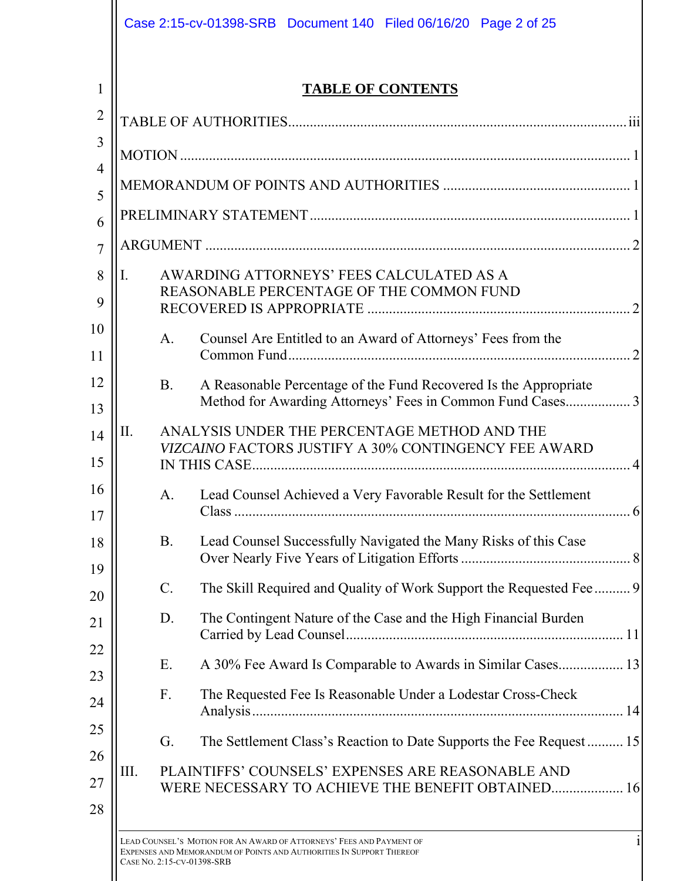|     |           | <b>TABLE OF CONTENTS</b>                                                                                                       |
|-----|-----------|--------------------------------------------------------------------------------------------------------------------------------|
|     |           |                                                                                                                                |
|     |           |                                                                                                                                |
|     |           |                                                                                                                                |
|     |           |                                                                                                                                |
|     |           |                                                                                                                                |
| Ι.  |           | AWARDING ATTORNEYS' FEES CALCULATED AS A<br>REASONABLE PERCENTAGE OF THE COMMON FUND                                           |
|     | A.        | Counsel Are Entitled to an Award of Attorneys' Fees from the                                                                   |
|     | <b>B.</b> | A Reasonable Percentage of the Fund Recovered Is the Appropriate<br>Method for Awarding Attorneys' Fees in Common Fund Cases 3 |
| II. |           | ANALYSIS UNDER THE PERCENTAGE METHOD AND THE<br><b>VIZCAINO FACTORS JUSTIFY A 30% CONTINGENCY FEE AWARD</b>                    |
|     | A.        | Lead Counsel Achieved a Very Favorable Result for the Settlement                                                               |
|     |           | Lead Counsel Successfully Navigated the Many Risks of this Case                                                                |
|     | <b>B.</b> |                                                                                                                                |
|     | $C$ .     | The Skill Required and Quality of Work Support the Requested Fee 9                                                             |
|     | D.        | The Contingent Nature of the Case and the High Financial Burden                                                                |
|     | Ε.        | A 30% Fee Award Is Comparable to Awards in Similar Cases 13                                                                    |
|     | F.        | The Requested Fee Is Reasonable Under a Lodestar Cross-Check                                                                   |
|     | G.        | The Settlement Class's Reaction to Date Supports the Fee Request 15                                                            |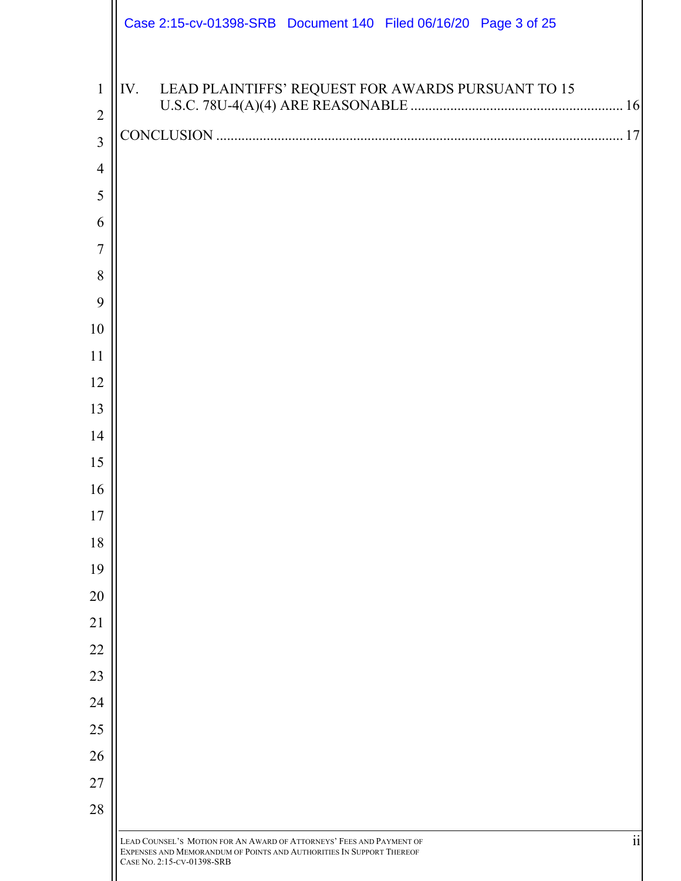|                | Case 2:15-cv-01398-SRB Document 140 Filed 06/16/20 Page 3 of 25                                                                                                                  |
|----------------|----------------------------------------------------------------------------------------------------------------------------------------------------------------------------------|
| $\mathbf{1}$   | IV.<br>LEAD PLAINTIFFS' REQUEST FOR AWARDS PURSUANT TO 15                                                                                                                        |
| $\overline{2}$ |                                                                                                                                                                                  |
| $\overline{3}$ |                                                                                                                                                                                  |
| $\overline{4}$ |                                                                                                                                                                                  |
| 5              |                                                                                                                                                                                  |
| 6              |                                                                                                                                                                                  |
| 7              |                                                                                                                                                                                  |
| 8              |                                                                                                                                                                                  |
| 9              |                                                                                                                                                                                  |
| 10             |                                                                                                                                                                                  |
| 11             |                                                                                                                                                                                  |
| 12             |                                                                                                                                                                                  |
| 13             |                                                                                                                                                                                  |
| 14             |                                                                                                                                                                                  |
| 15             |                                                                                                                                                                                  |
| 16             |                                                                                                                                                                                  |
| 17             |                                                                                                                                                                                  |
| 18             |                                                                                                                                                                                  |
| 19             |                                                                                                                                                                                  |
| 20             |                                                                                                                                                                                  |
| 21             |                                                                                                                                                                                  |
| 22             |                                                                                                                                                                                  |
| 23             |                                                                                                                                                                                  |
| 24             |                                                                                                                                                                                  |
| 25             |                                                                                                                                                                                  |
| 26             |                                                                                                                                                                                  |
| 27             |                                                                                                                                                                                  |
| 28             |                                                                                                                                                                                  |
|                | ii<br>LEAD COUNSEL'S MOTION FOR AN AWARD OF ATTORNEYS' FEES AND PAYMENT OF<br>EXPENSES AND MEMORANDUM OF POINTS AND AUTHORITIES IN SUPPORT THEREOF<br>CASE No. 2:15-CV-01398-SRB |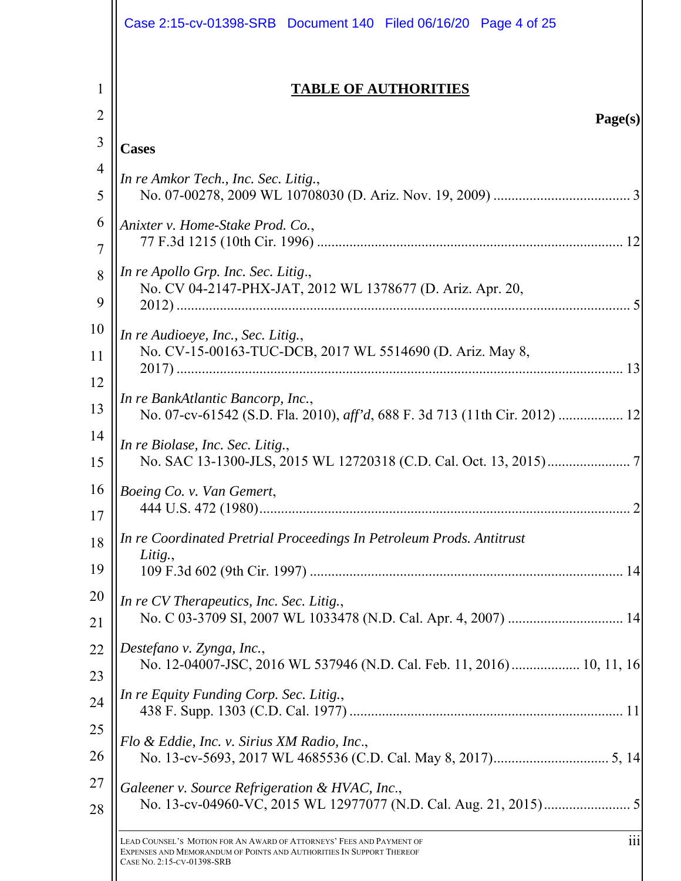|                | Case 2:15-cv-01398-SRB  Document 140  Filed 06/16/20  Page 4 of 25                                                                                                                |
|----------------|-----------------------------------------------------------------------------------------------------------------------------------------------------------------------------------|
| 1              | <b>TABLE OF AUTHORITIES</b>                                                                                                                                                       |
| $\overline{2}$ | Page(s)                                                                                                                                                                           |
| 3              | <b>Cases</b>                                                                                                                                                                      |
| 4              | In re Amkor Tech., Inc. Sec. Litig.,                                                                                                                                              |
| 5              |                                                                                                                                                                                   |
| 6              | Anixter v. Home-Stake Prod. Co.,                                                                                                                                                  |
| 7              |                                                                                                                                                                                   |
| 8<br>9         | In re Apollo Grp. Inc. Sec. Litig.,<br>No. CV 04-2147-PHX-JAT, 2012 WL 1378677 (D. Ariz. Apr. 20,                                                                                 |
| 10<br>11       | In re Audioeye, Inc., Sec. Litig.,<br>No. CV-15-00163-TUC-DCB, 2017 WL 5514690 (D. Ariz. May 8,                                                                                   |
| 12             | In re BankAtlantic Bancorp, Inc.,                                                                                                                                                 |
| 13             | No. 07-cv-61542 (S.D. Fla. 2010), aff'd, 688 F. 3d 713 (11th Cir. 2012)  12                                                                                                       |
| 14             | In re Biolase, Inc. Sec. Litig.,                                                                                                                                                  |
| 15             |                                                                                                                                                                                   |
| 16             | Boeing Co. v. Van Gemert,                                                                                                                                                         |
| 17             |                                                                                                                                                                                   |
| 18<br>19       | In re Coordinated Pretrial Proceedings In Petroleum Prods. Antitrust<br>Litig.,                                                                                                   |
| 20             | In re CV Therapeutics, Inc. Sec. Litig.,                                                                                                                                          |
| 21             |                                                                                                                                                                                   |
| 22             | Destefano v. Zynga, Inc.,                                                                                                                                                         |
| 23             | No. 12-04007-JSC, 2016 WL 537946 (N.D. Cal. Feb. 11, 2016)  10, 11, 16                                                                                                            |
| 24             | In re Equity Funding Corp. Sec. Litig.,                                                                                                                                           |
| 25             | Flo & Eddie, Inc. v. Sirius XM Radio, Inc.,                                                                                                                                       |
| 26             |                                                                                                                                                                                   |
| 27             | Galeener v. Source Refrigeration & HVAC, Inc.,                                                                                                                                    |
| 28             |                                                                                                                                                                                   |
|                | LEAD COUNSEL'S MOTION FOR AN AWARD OF ATTORNEYS' FEES AND PAYMENT OF<br>111<br>EXPENSES AND MEMORANDUM OF POINTS AND AUTHORITIES IN SUPPORT THEREOF<br>CASE NO. 2:15-CV-01398-SRB |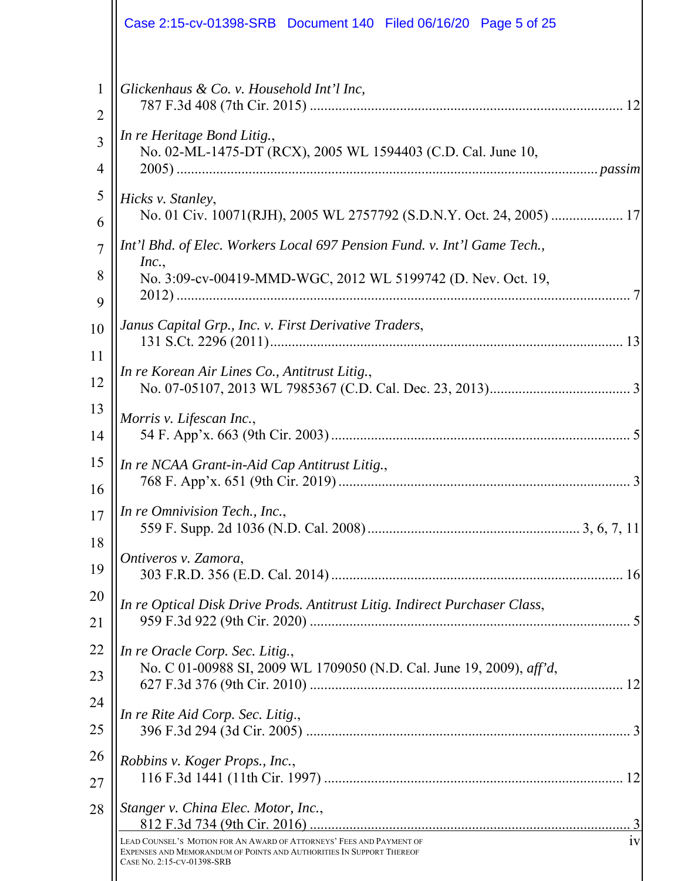|                     | Case 2:15-cv-01398-SRB Document 140 Filed 06/16/20 Page 5 of 25                                                                                                                                                         |  |
|---------------------|-------------------------------------------------------------------------------------------------------------------------------------------------------------------------------------------------------------------------|--|
| 1<br>$\overline{2}$ | Glickenhaus & Co. v. Household Int'l Inc,                                                                                                                                                                               |  |
| 3<br>4              | In re Heritage Bond Litig.,<br>No. 02-ML-1475-DT (RCX), 2005 WL 1594403 (C.D. Cal. June 10,                                                                                                                             |  |
| 5<br>6              | Hicks v. Stanley,<br>No. 01 Civ. 10071(RJH), 2005 WL 2757792 (S.D.N.Y. Oct. 24, 2005)  17                                                                                                                               |  |
| $\tau$<br>8         | Int'l Bhd. of Elec. Workers Local 697 Pension Fund. v. Int'l Game Tech.,<br>Inc.,<br>No. 3:09-cv-00419-MMD-WGC, 2012 WL 5199742 (D. Nev. Oct. 19,                                                                       |  |
| 9<br>10<br>11       | Janus Capital Grp., Inc. v. First Derivative Traders,                                                                                                                                                                   |  |
| 12                  | In re Korean Air Lines Co., Antitrust Litig.,                                                                                                                                                                           |  |
| 13<br>14            | Morris v. Lifescan Inc.,                                                                                                                                                                                                |  |
| 15<br>16            | In re NCAA Grant-in-Aid Cap Antitrust Litig.,                                                                                                                                                                           |  |
| 17<br>18            | In re Omnivision Tech., Inc.,                                                                                                                                                                                           |  |
| 19                  | Ontiveros v. Zamora,                                                                                                                                                                                                    |  |
| 20<br>21            | In re Optical Disk Drive Prods. Antitrust Litig. Indirect Purchaser Class,                                                                                                                                              |  |
| 22<br>23            | In re Oracle Corp. Sec. Litig.,<br>No. C 01-00988 SI, 2009 WL 1709050 (N.D. Cal. June 19, 2009), aff'd,                                                                                                                 |  |
| 24<br>25            | In re Rite Aid Corp. Sec. Litig.,                                                                                                                                                                                       |  |
| 26<br>27            | Robbins v. Koger Props., Inc.,                                                                                                                                                                                          |  |
| 28                  | Stanger v. China Elec. Motor, Inc.,<br>LEAD COUNSEL'S MOTION FOR AN AWARD OF ATTORNEYS' FEES AND PAYMENT OF<br>1V<br>EXPENSES AND MEMORANDUM OF POINTS AND AUTHORITIES IN SUPPORT THEREOF<br>CASE NO. 2:15-CV-01398-SRB |  |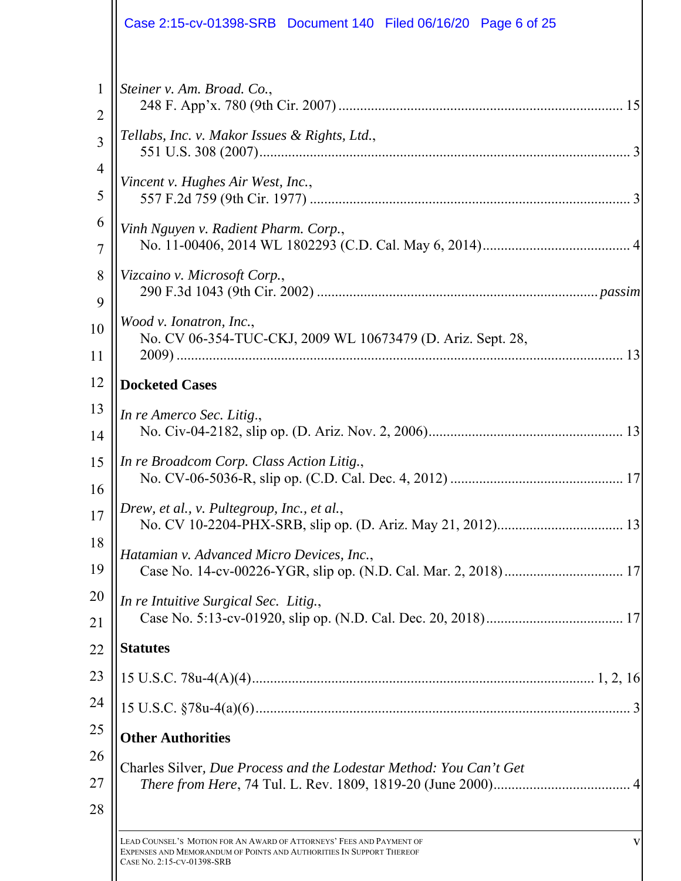| Case 2:15-cv-01398-SRB Document 140 Filed 06/16/20 Page 6 of 25                                                                              |
|----------------------------------------------------------------------------------------------------------------------------------------------|
| Steiner v. Am. Broad. Co.,                                                                                                                   |
| Tellabs, Inc. v. Makor Issues & Rights, Ltd.,                                                                                                |
| Vincent v. Hughes Air West, Inc.,                                                                                                            |
| Vinh Nguyen v. Radient Pharm. Corp.,                                                                                                         |
| Vizcaino v. Microsoft Corp.,                                                                                                                 |
| Wood v. Ionatron, Inc.,<br>No. CV 06-354-TUC-CKJ, 2009 WL 10673479 (D. Ariz. Sept. 28,                                                       |
| <b>Docketed Cases</b>                                                                                                                        |
| In re Amerco Sec. Litig.,                                                                                                                    |
| In re Broadcom Corp. Class Action Litig.,                                                                                                    |
| Drew, et al., v. Pultegroup, Inc., et al.,                                                                                                   |
| Hatamian v. Advanced Micro Devices, Inc.,                                                                                                    |
| In re Intuitive Surgical Sec. Litig.,                                                                                                        |
| <b>Statutes</b>                                                                                                                              |
|                                                                                                                                              |
|                                                                                                                                              |
| <b>Other Authorities</b>                                                                                                                     |
| Charles Silver, Due Process and the Lodestar Method: You Can't Get                                                                           |
| LEAD COUNSEL'S MOTION FOR AN AWARD OF ATTORNEYS' FEES AND PAYMENT OF<br>EXPENSES AND MEMORANDUM OF POINTS AND AUTHORITIES IN SUPPORT THEREOF |

CASE NO. 2:15-CV-01398-SRB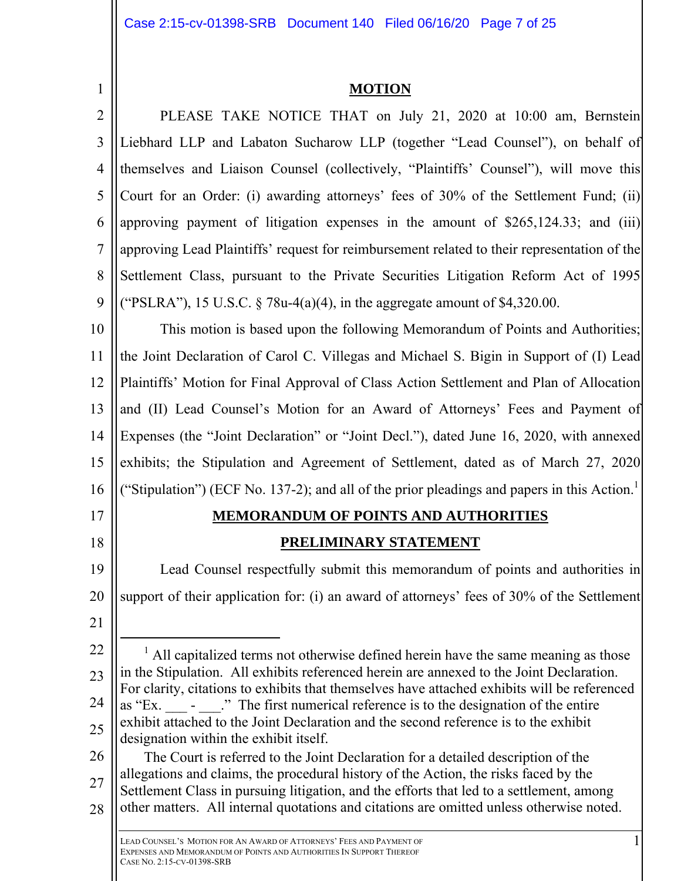1

# **MOTION**

2 3 4 5 6 7 8 9 PLEASE TAKE NOTICE THAT on July 21, 2020 at 10:00 am, Bernstein Liebhard LLP and Labaton Sucharow LLP (together "Lead Counsel"), on behalf of themselves and Liaison Counsel (collectively, "Plaintiffs' Counsel"), will move this Court for an Order: (i) awarding attorneys' fees of 30% of the Settlement Fund; (ii) approving payment of litigation expenses in the amount of \$265,124.33; and (iii) approving Lead Plaintiffs' request for reimbursement related to their representation of the Settlement Class, pursuant to the Private Securities Litigation Reform Act of 1995 ("PSLRA"), 15 U.S.C.  $\frac{5}{8}$  78u-4(a)(4), in the aggregate amount of \$4,320.00.

10 11 12 13 14 15 16 This motion is based upon the following Memorandum of Points and Authorities; the Joint Declaration of Carol C. Villegas and Michael S. Bigin in Support of (I) Lead Plaintiffs' Motion for Final Approval of Class Action Settlement and Plan of Allocation and (II) Lead Counsel's Motion for an Award of Attorneys' Fees and Payment of Expenses (the "Joint Declaration" or "Joint Decl."), dated June 16, 2020, with annexed exhibits; the Stipulation and Agreement of Settlement, dated as of March 27, 2020 ("Stipulation") (ECF No. 137-2); and all of the prior pleadings and papers in this Action.<sup>1</sup> 

17

18

# **MEMORANDUM OF POINTS AND AUTHORITIES PRELIMINARY STATEMENT**

19 20 21 Lead Counsel respectfully submit this memorandum of points and authorities in support of their application for: (i) an award of attorneys' fees of 30% of the Settlement

22  $23$ 24 25  $\frac{1}{1}$  $<sup>1</sup>$  All capitalized terms not otherwise defined herein have the same meaning as those</sup> in the Stipulation. All exhibits referenced herein are annexed to the Joint Declaration. For clarity, citations to exhibits that themselves have attached exhibits will be referenced as "Ex. - ..." The first numerical reference is to the designation of the entire exhibit attached to the Joint Declaration and the second reference is to the exhibit designation within the exhibit itself.

26 27 28 The Court is referred to the Joint Declaration for a detailed description of the allegations and claims, the procedural history of the Action, the risks faced by the Settlement Class in pursuing litigation, and the efforts that led to a settlement, among other matters. All internal quotations and citations are omitted unless otherwise noted.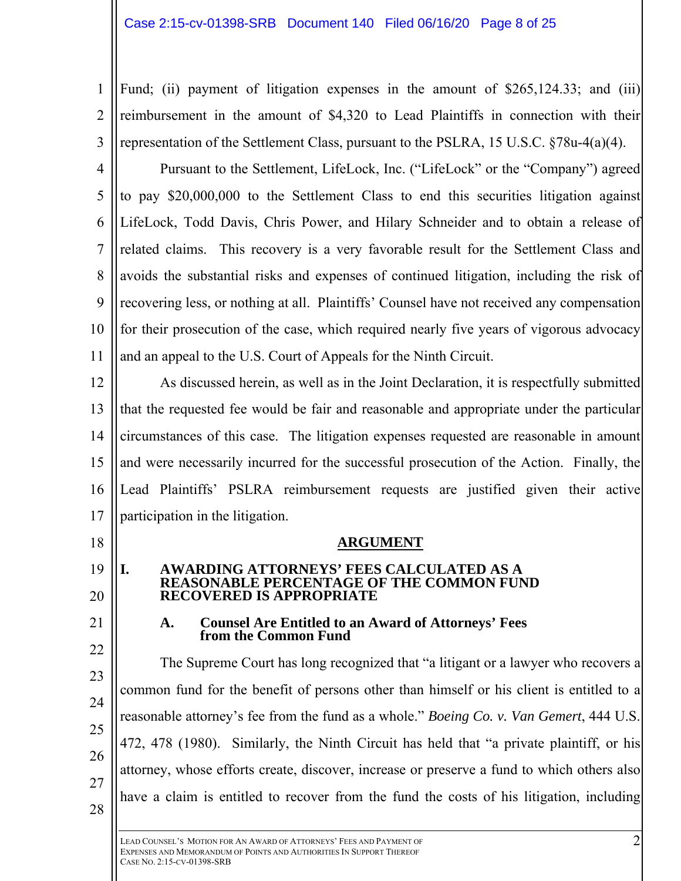Fund; (ii) payment of litigation expenses in the amount of \$265,124.33; and (iii) reimbursement in the amount of \$4,320 to Lead Plaintiffs in connection with their representation of the Settlement Class, pursuant to the PSLRA, 15 U.S.C. §78u-4(a)(4).

4 5 6 7 8 9 10 11 Pursuant to the Settlement, LifeLock, Inc. ("LifeLock" or the "Company") agreed to pay \$20,000,000 to the Settlement Class to end this securities litigation against LifeLock, Todd Davis, Chris Power, and Hilary Schneider and to obtain a release of related claims. This recovery is a very favorable result for the Settlement Class and avoids the substantial risks and expenses of continued litigation, including the risk of recovering less, or nothing at all. Plaintiffs' Counsel have not received any compensation for their prosecution of the case, which required nearly five years of vigorous advocacy and an appeal to the U.S. Court of Appeals for the Ninth Circuit.

12 13 14 15 16 17 As discussed herein, as well as in the Joint Declaration, it is respectfully submitted that the requested fee would be fair and reasonable and appropriate under the particular circumstances of this case. The litigation expenses requested are reasonable in amount and were necessarily incurred for the successful prosecution of the Action. Finally, the Lead Plaintiffs' PSLRA reimbursement requests are justified given their active participation in the litigation.

**ARGUMENT** 

# **I. AWARDING ATTORNEYS' FEES CALCULATED AS A REASONABLE PERCENTAGE OF THE COMMON FUND RECOVERED IS APPROPRIATE**

21 22

18

19

20

1

2

3

## **A. Counsel Are Entitled to an Award of Attorneys' Fees from the Common Fund**

23 24 25 26 27 28 The Supreme Court has long recognized that "a litigant or a lawyer who recovers a common fund for the benefit of persons other than himself or his client is entitled to a reasonable attorney's fee from the fund as a whole." *Boeing Co. v. Van Gemert*, 444 U.S. 472, 478 (1980). Similarly, the Ninth Circuit has held that "a private plaintiff, or his attorney, whose efforts create, discover, increase or preserve a fund to which others also have a claim is entitled to recover from the fund the costs of his litigation, including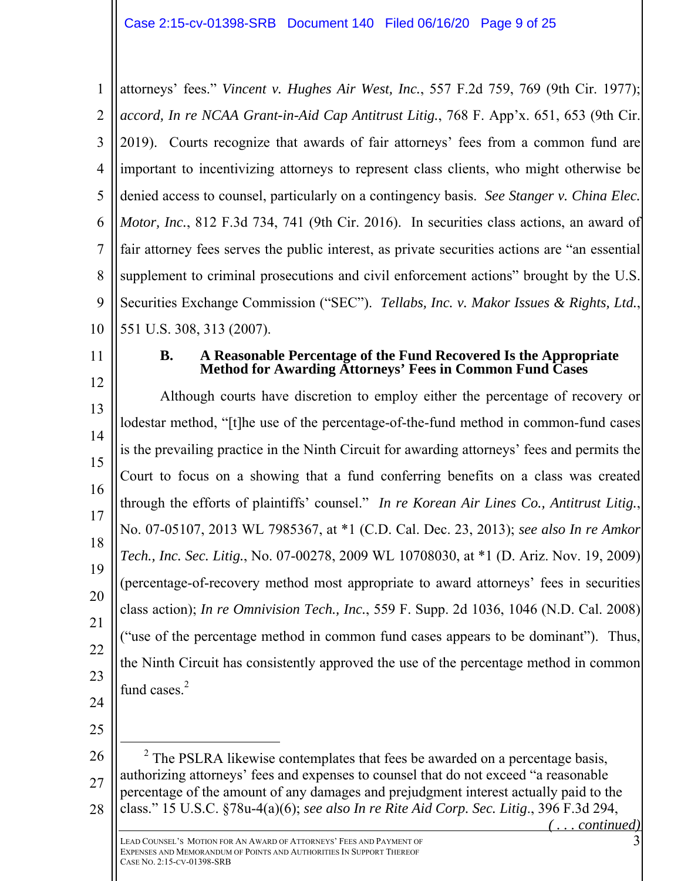1 2 3 4 5 6 7 8 9 10 attorneys' fees." *Vincent v. Hughes Air West, Inc.*, 557 F.2d 759, 769 (9th Cir. 1977); *accord, In re NCAA Grant-in-Aid Cap Antitrust Litig.*, 768 F. App'x. 651, 653 (9th Cir. 2019). Courts recognize that awards of fair attorneys' fees from a common fund are important to incentivizing attorneys to represent class clients, who might otherwise be denied access to counsel, particularly on a contingency basis. *See Stanger v. China Elec. Motor, Inc.*, 812 F.3d 734, 741 (9th Cir. 2016). In securities class actions, an award of fair attorney fees serves the public interest, as private securities actions are "an essential supplement to criminal prosecutions and civil enforcement actions" brought by the U.S. Securities Exchange Commission ("SEC"). *Tellabs, Inc. v. Makor Issues & Rights, Ltd.*, 551 U.S. 308, 313 (2007).

11

#### **B. A Reasonable Percentage of the Fund Recovered Is the Appropriate Method for Awarding Attorneys' Fees in Common Fund Cases**

12 13 14 15 16 17 18 19 20 21 22 23 Although courts have discretion to employ either the percentage of recovery or lodestar method, "[t]he use of the percentage-of-the-fund method in common-fund cases is the prevailing practice in the Ninth Circuit for awarding attorneys' fees and permits the Court to focus on a showing that a fund conferring benefits on a class was created through the efforts of plaintiffs' counsel." *In re Korean Air Lines Co., Antitrust Litig.*, No. 07-05107, 2013 WL 7985367, at \*1 (C.D. Cal. Dec. 23, 2013); *see also In re Amkor Tech., Inc. Sec. Litig.*, No. 07-00278, 2009 WL 10708030, at \*1 (D. Ariz. Nov. 19, 2009) (percentage-of-recovery method most appropriate to award attorneys' fees in securities class action); *In re Omnivision Tech., Inc.*, 559 F. Supp. 2d 1036, 1046 (N.D. Cal. 2008) ("use of the percentage method in common fund cases appears to be dominant"). Thus, the Ninth Circuit has consistently approved the use of the percentage method in common fund cases. $<sup>2</sup>$ </sup>

- 24
- 25
- 26 27 28  $\overline{\phantom{a}}$  $2$  The PSLRA likewise contemplates that fees be awarded on a percentage basis, authorizing attorneys' fees and expenses to counsel that do not exceed "a reasonable percentage of the amount of any damages and prejudgment interest actually paid to the class." 15 U.S.C. §78u-4(a)(6); *see also In re Rite Aid Corp. Sec. Litig*., 396 F.3d 294,

 $c$ *<u><i>ontinued*</u>)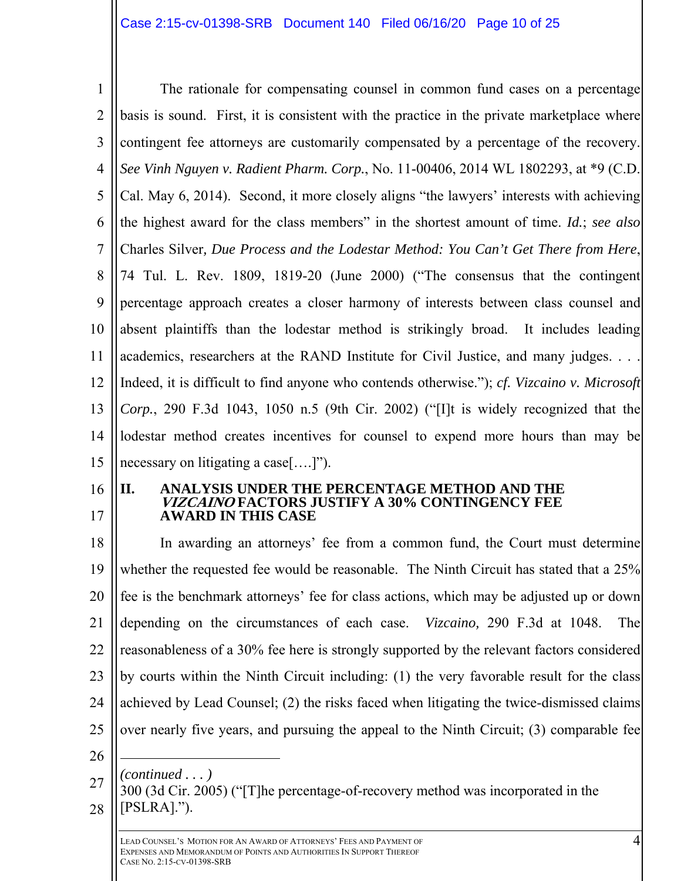1 2 3 4 5 6 7 8 9 10 11 12 13 14 15 The rationale for compensating counsel in common fund cases on a percentage basis is sound. First, it is consistent with the practice in the private marketplace where contingent fee attorneys are customarily compensated by a percentage of the recovery. *See Vinh Nguyen v. Radient Pharm. Corp.*, No. 11-00406, 2014 WL 1802293, at \*9 (C.D. Cal. May 6, 2014). Second, it more closely aligns "the lawyers' interests with achieving the highest award for the class members" in the shortest amount of time. *Id.*; *see also* Charles Silver*, Due Process and the Lodestar Method: You Can't Get There from Here*, 74 Tul. L. Rev. 1809, 1819-20 (June 2000) ("The consensus that the contingent percentage approach creates a closer harmony of interests between class counsel and absent plaintiffs than the lodestar method is strikingly broad. It includes leading academics, researchers at the RAND Institute for Civil Justice, and many judges. . . . Indeed, it is difficult to find anyone who contends otherwise."); *cf. Vizcaino v. Microsoft Corp.*, 290 F.3d 1043, 1050 n.5 (9th Cir. 2002) ("[I]t is widely recognized that the lodestar method creates incentives for counsel to expend more hours than may be necessary on litigating a case[….]").

16 17

#### **II. ANALYSIS UNDER THE PERCENTAGE METHOD AND THE VIZCAINO FACTORS JUSTIFY A 30% CONTINGENCY FEE AWARD IN THIS CASE**

18 19 20 21 22 23 24 25 In awarding an attorneys' fee from a common fund, the Court must determine whether the requested fee would be reasonable. The Ninth Circuit has stated that a 25% fee is the benchmark attorneys' fee for class actions, which may be adjusted up or down depending on the circumstances of each case. *Vizcaino,* 290 F.3d at 1048. The reasonableness of a 30% fee here is strongly supported by the relevant factors considered by courts within the Ninth Circuit including: (1) the very favorable result for the class achieved by Lead Counsel; (2) the risks faced when litigating the twice-dismissed claims over nearly five years, and pursuing the appeal to the Ninth Circuit; (3) comparable fee  $\overline{a}$ 

- 26
	- *(continued . . . )*
- 27 28 300 (3d Cir. 2005) ("[T]he percentage-of-recovery method was incorporated in the [PSLRA].").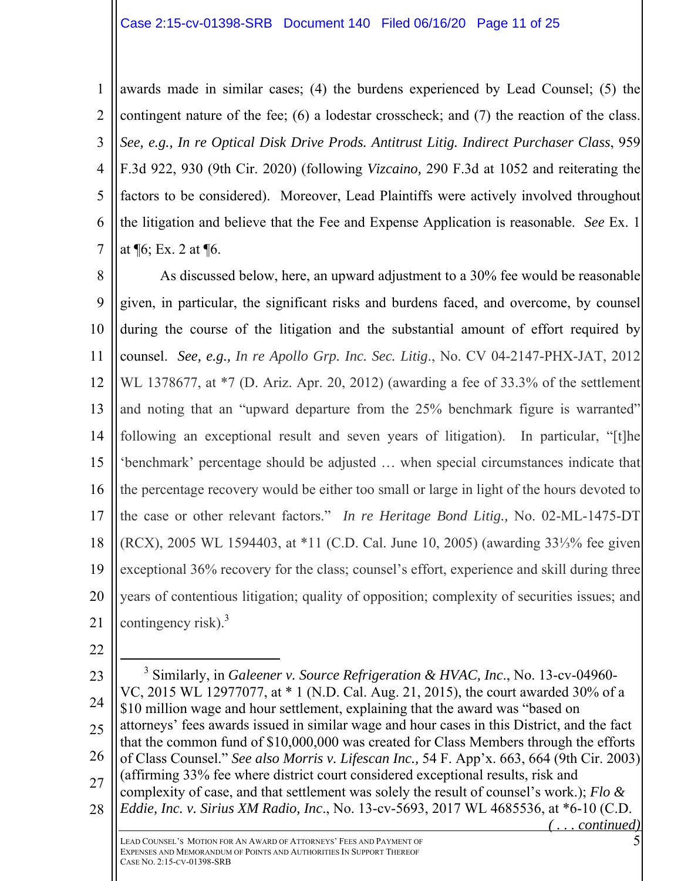1 2 3 4 5 6 7 awards made in similar cases; (4) the burdens experienced by Lead Counsel; (5) the contingent nature of the fee; (6) a lodestar crosscheck; and (7) the reaction of the class. *See, e.g., In re Optical Disk Drive Prods. Antitrust Litig. Indirect Purchaser Class*, 959 F.3d 922, 930 (9th Cir. 2020) (following *Vizcaino,* 290 F.3d at 1052 and reiterating the factors to be considered). Moreover, Lead Plaintiffs were actively involved throughout the litigation and believe that the Fee and Expense Application is reasonable. *See* Ex. 1 at ¶6; Ex. 2 at ¶6.

8 9 10 11 12 13 14 15 16 17 18 19 20 21 As discussed below, here, an upward adjustment to a 30% fee would be reasonable given, in particular, the significant risks and burdens faced, and overcome, by counsel during the course of the litigation and the substantial amount of effort required by counsel. *See, e.g., In re Apollo Grp. Inc. Sec. Litig*., No. CV 04-2147-PHX-JAT, 2012 WL 1378677, at \*7 (D. Ariz. Apr. 20, 2012) (awarding a fee of 33.3% of the settlement and noting that an "upward departure from the 25% benchmark figure is warranted" following an exceptional result and seven years of litigation). In particular, "[t]he 'benchmark' percentage should be adjusted … when special circumstances indicate that the percentage recovery would be either too small or large in light of the hours devoted to the case or other relevant factors." *In re Heritage Bond Litig.,* No. 02-ML-1475-DT (RCX), 2005 WL 1594403, at \*11 (C.D. Cal. June 10, 2005) (awarding 33⅓% fee given exceptional 36% recovery for the class; counsel's effort, experience and skill during three years of contentious litigation; quality of opposition; complexity of securities issues; and contingency risk).<sup>3</sup>

22

23 24 25 26 27 28  $\frac{1}{3}$  Similarly, in *Galeener v. Source Refrigeration & HVAC, Inc*., No. 13-cv-04960- VC, 2015 WL 12977077, at \* 1 (N.D. Cal. Aug. 21, 2015), the court awarded 30% of a \$10 million wage and hour settlement, explaining that the award was "based on attorneys' fees awards issued in similar wage and hour cases in this District, and the fact that the common fund of \$10,000,000 was created for Class Members through the efforts of Class Counsel." *See also Morris v. Lifescan Inc.,* 54 F. App'x. 663, 664 (9th Cir. 2003) (affirming 33% fee where district court considered exceptional results, risk and complexity of case, and that settlement was solely the result of counsel's work.); *Flo & Eddie, Inc. v. Sirius XM Radio, Inc*., No. 13-cv-5693, 2017 WL 4685536, at \*6-10 (C.D.  $$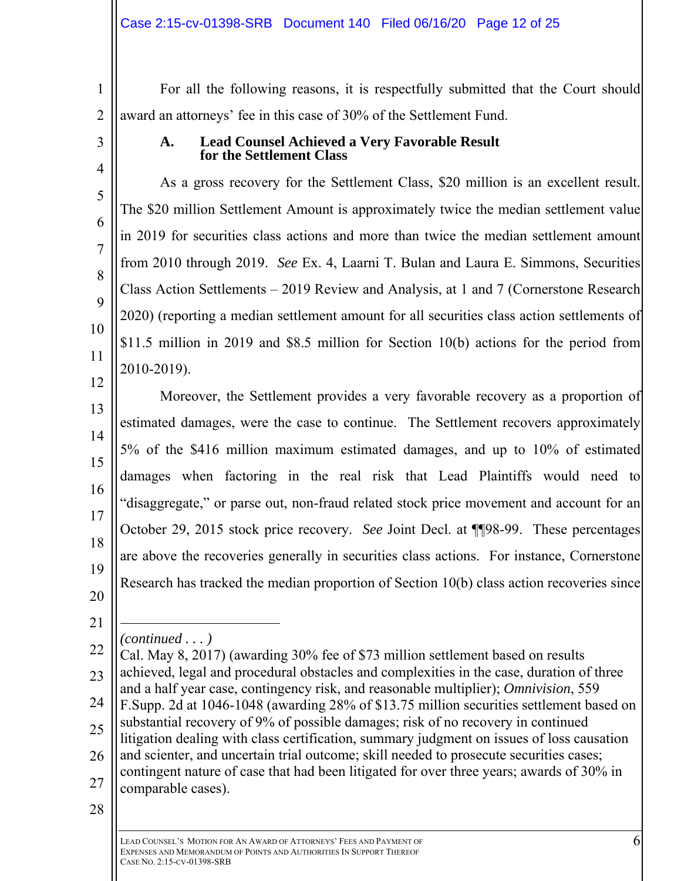1 2 For all the following reasons, it is respectfully submitted that the Court should award an attorneys' fee in this case of 30% of the Settlement Fund.

3

4

5

6

7

8

 $\overline{Q}$ 

10

11

## **A. Lead Counsel Achieved a Very Favorable Result for the Settlement Class**

As a gross recovery for the Settlement Class, \$20 million is an excellent result. The \$20 million Settlement Amount is approximately twice the median settlement value in 2019 for securities class actions and more than twice the median settlement amount from 2010 through 2019. *See* Ex. 4, Laarni T. Bulan and Laura E. Simmons, Securities Class Action Settlements – 2019 Review and Analysis, at 1 and 7 (Cornerstone Research 2020) (reporting a median settlement amount for all securities class action settlements of \$11.5 million in 2019 and \$8.5 million for Section 10(b) actions for the period from 2010-2019).

12 13 14 15 16 17 18 19 20 Moreover, the Settlement provides a very favorable recovery as a proportion of estimated damages, were the case to continue. The Settlement recovers approximately 5% of the \$416 million maximum estimated damages, and up to 10% of estimated damages when factoring in the real risk that Lead Plaintiffs would need to "disaggregate," or parse out, non-fraud related stock price movement and account for an October 29, 2015 stock price recovery. *See* Joint Decl. at ¶¶98-99. These percentages are above the recoveries generally in securities class actions. For instance, Cornerstone Research has tracked the median proportion of Section 10(b) class action recoveries since

21 *(continued . . . )* 

22  $23$ 24 25 26 27 Cal. May 8, 2017) (awarding 30% fee of \$73 million settlement based on results achieved, legal and procedural obstacles and complexities in the case, duration of three and a half year case, contingency risk, and reasonable multiplier); *Omnivision*, 559 F.Supp. 2d at 1046-1048 (awarding 28% of \$13.75 million securities settlement based on substantial recovery of 9% of possible damages; risk of no recovery in continued litigation dealing with class certification, summary judgment on issues of loss causation and scienter, and uncertain trial outcome; skill needed to prosecute securities cases; contingent nature of case that had been litigated for over three years; awards of 30% in comparable cases).

<sup>28</sup>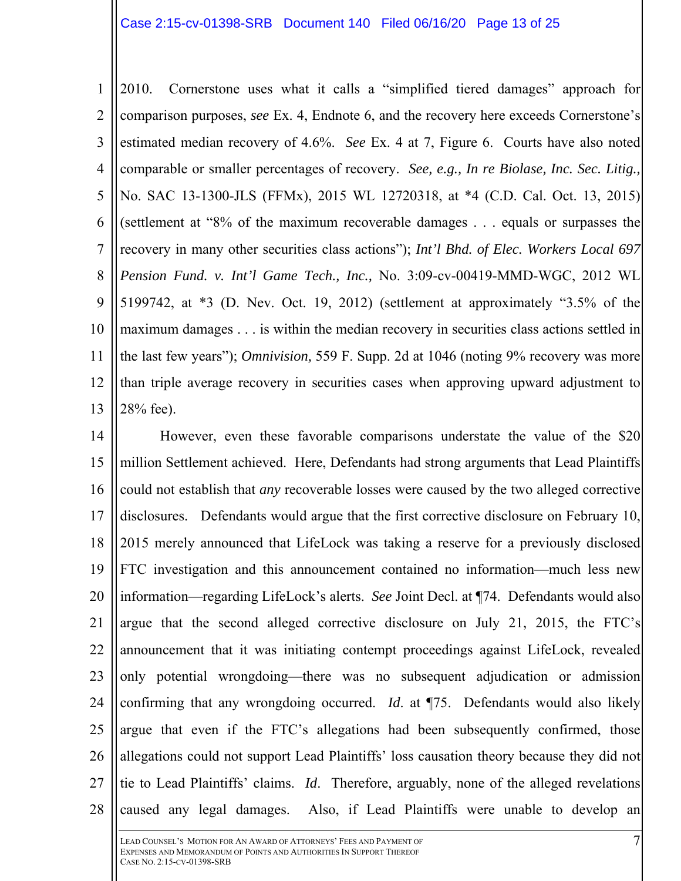1 2 3 4 5 6 7 8 9 10 11 12 13 2010. Cornerstone uses what it calls a "simplified tiered damages" approach for comparison purposes, *see* Ex. 4, Endnote 6, and the recovery here exceeds Cornerstone's estimated median recovery of 4.6%. *See* Ex. 4 at 7, Figure 6. Courts have also noted comparable or smaller percentages of recovery. *See, e.g., In re Biolase, Inc. Sec. Litig.,*  No. SAC 13-1300-JLS (FFMx), 2015 WL 12720318, at \*4 (C.D. Cal. Oct. 13, 2015) (settlement at "8% of the maximum recoverable damages . . . equals or surpasses the recovery in many other securities class actions"); *Int'l Bhd. of Elec. Workers Local 697 Pension Fund. v. Int'l Game Tech., Inc.,* No. 3:09-cv-00419-MMD-WGC, 2012 WL 5199742, at \*3 (D. Nev. Oct. 19, 2012) (settlement at approximately "3.5% of the maximum damages . . . is within the median recovery in securities class actions settled in the last few years"); *Omnivision,* 559 F. Supp. 2d at 1046 (noting 9% recovery was more than triple average recovery in securities cases when approving upward adjustment to 28% fee).

14 15 16 17 18 19 20 21 22 23 24 25 26 27 28 However, even these favorable comparisons understate the value of the \$20 million Settlement achieved. Here, Defendants had strong arguments that Lead Plaintiffs could not establish that *any* recoverable losses were caused by the two alleged corrective disclosures. Defendants would argue that the first corrective disclosure on February 10, 2015 merely announced that LifeLock was taking a reserve for a previously disclosed FTC investigation and this announcement contained no information—much less new information—regarding LifeLock's alerts. *See* Joint Decl. at ¶74. Defendants would also argue that the second alleged corrective disclosure on July 21, 2015, the FTC's announcement that it was initiating contempt proceedings against LifeLock, revealed only potential wrongdoing—there was no subsequent adjudication or admission confirming that any wrongdoing occurred. *Id*. at ¶75. Defendants would also likely argue that even if the FTC's allegations had been subsequently confirmed, those allegations could not support Lead Plaintiffs' loss causation theory because they did not tie to Lead Plaintiffs' claims. *Id*. Therefore, arguably, none of the alleged revelations caused any legal damages. Also, if Lead Plaintiffs were unable to develop an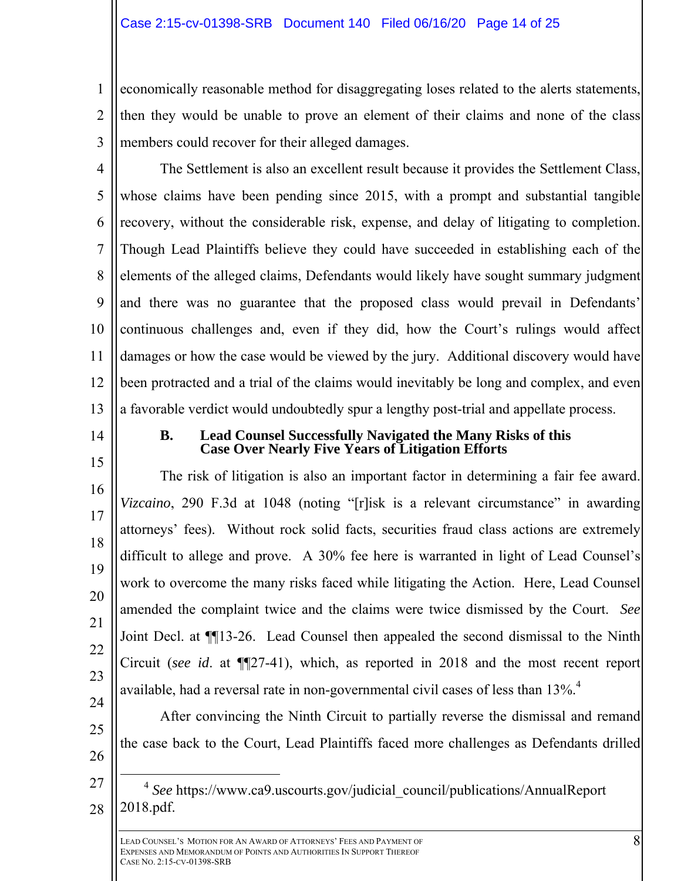1 2 3 economically reasonable method for disaggregating loses related to the alerts statements, then they would be unable to prove an element of their claims and none of the class members could recover for their alleged damages.

4 5 6 7 8 9 10 11 12 13 The Settlement is also an excellent result because it provides the Settlement Class, whose claims have been pending since 2015, with a prompt and substantial tangible recovery, without the considerable risk, expense, and delay of litigating to completion. Though Lead Plaintiffs believe they could have succeeded in establishing each of the elements of the alleged claims, Defendants would likely have sought summary judgment and there was no guarantee that the proposed class would prevail in Defendants' continuous challenges and, even if they did, how the Court's rulings would affect damages or how the case would be viewed by the jury. Additional discovery would have been protracted and a trial of the claims would inevitably be long and complex, and even a favorable verdict would undoubtedly spur a lengthy post-trial and appellate process.

14

16

17

18

19

20

21

22

23

24

25

26

# **B. Lead Counsel Successfully Navigated the Many Risks of this Case Over Nearly Five Years of Litigation Efforts**

15 The risk of litigation is also an important factor in determining a fair fee award. *Vizcaino*, 290 F.3d at 1048 (noting "[r]isk is a relevant circumstance" in awarding attorneys' fees). Without rock solid facts, securities fraud class actions are extremely difficult to allege and prove. A 30% fee here is warranted in light of Lead Counsel's work to overcome the many risks faced while litigating the Action. Here, Lead Counsel amended the complaint twice and the claims were twice dismissed by the Court. *See*  Joint Decl. at ¶¶13-26. Lead Counsel then appealed the second dismissal to the Ninth Circuit (*see id*. at ¶¶27-41), which, as reported in 2018 and the most recent report available, had a reversal rate in non-governmental civil cases of less than  $13\%$ .<sup>4</sup>

After convincing the Ninth Circuit to partially reverse the dismissal and remand the case back to the Court, Lead Plaintiffs faced more challenges as Defendants drilled

27 28 <sup>4</sup> See https://www.ca9.uscourts.gov/judicial\_council/publications/AnnualReport 2018.pdf.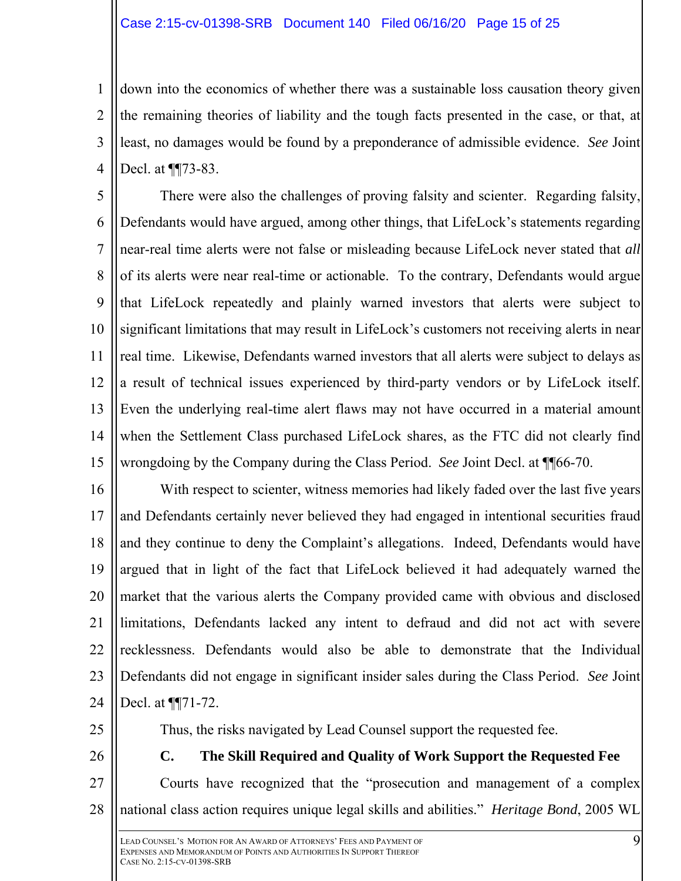1 2 3 4 down into the economics of whether there was a sustainable loss causation theory given the remaining theories of liability and the tough facts presented in the case, or that, at least, no damages would be found by a preponderance of admissible evidence. *See* Joint Decl. at ¶¶73-83.

5 6 7 8 9 10 11 12 13 14 15 There were also the challenges of proving falsity and scienter. Regarding falsity, Defendants would have argued, among other things, that LifeLock's statements regarding near-real time alerts were not false or misleading because LifeLock never stated that *all*  of its alerts were near real-time or actionable. To the contrary, Defendants would argue that LifeLock repeatedly and plainly warned investors that alerts were subject to significant limitations that may result in LifeLock's customers not receiving alerts in near real time. Likewise, Defendants warned investors that all alerts were subject to delays as a result of technical issues experienced by third-party vendors or by LifeLock itself. Even the underlying real-time alert flaws may not have occurred in a material amount when the Settlement Class purchased LifeLock shares, as the FTC did not clearly find wrongdoing by the Company during the Class Period. *See* Joint Decl. at ¶¶66-70.

16 17 18 19 20 21 22  $23$ 24 With respect to scienter, witness memories had likely faded over the last five years and Defendants certainly never believed they had engaged in intentional securities fraud and they continue to deny the Complaint's allegations. Indeed, Defendants would have argued that in light of the fact that LifeLock believed it had adequately warned the market that the various alerts the Company provided came with obvious and disclosed limitations, Defendants lacked any intent to defraud and did not act with severe recklessness. Defendants would also be able to demonstrate that the Individual Defendants did not engage in significant insider sales during the Class Period. *See* Joint Decl. at ¶¶71-72.

- 25
- 26

Thus, the risks navigated by Lead Counsel support the requested fee.

27 28 **C. The Skill Required and Quality of Work Support the Requested Fee**  Courts have recognized that the "prosecution and management of a complex national class action requires unique legal skills and abilities." *Heritage Bond*, 2005 WL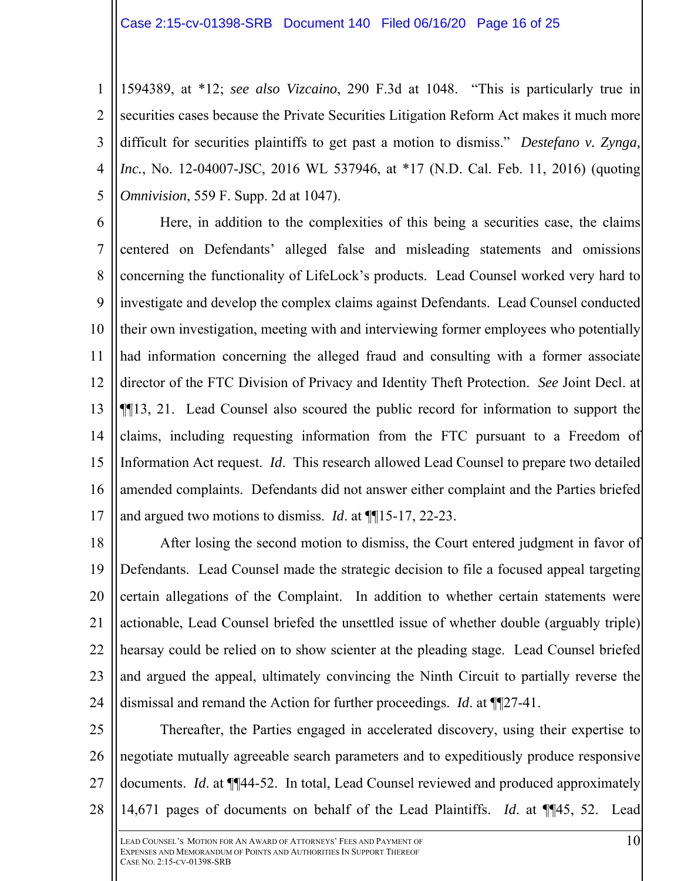1 2 3 4 5 1594389, at \*12; *see also Vizcaino*, 290 F.3d at 1048. "This is particularly true in securities cases because the Private Securities Litigation Reform Act makes it much more difficult for securities plaintiffs to get past a motion to dismiss." *Destefano v. Zynga, Inc.*, No. 12-04007-JSC, 2016 WL 537946, at \*17 (N.D. Cal. Feb. 11, 2016) (quoting *Omnivision*, 559 F. Supp. 2d at 1047).

6 7 8 9 10 11 12 13 14 15 16 17 Here, in addition to the complexities of this being a securities case, the claims centered on Defendants' alleged false and misleading statements and omissions concerning the functionality of LifeLock's products. Lead Counsel worked very hard to investigate and develop the complex claims against Defendants. Lead Counsel conducted their own investigation, meeting with and interviewing former employees who potentially had information concerning the alleged fraud and consulting with a former associate director of the FTC Division of Privacy and Identity Theft Protection. *See* Joint Decl. at ¶¶13, 21. Lead Counsel also scoured the public record for information to support the claims, including requesting information from the FTC pursuant to a Freedom of Information Act request. *Id*. This research allowed Lead Counsel to prepare two detailed amended complaints. Defendants did not answer either complaint and the Parties briefed and argued two motions to dismiss. *Id*. at ¶¶15-17, 22-23.

18 19 20 21 22 23 24 After losing the second motion to dismiss, the Court entered judgment in favor of Defendants. Lead Counsel made the strategic decision to file a focused appeal targeting certain allegations of the Complaint. In addition to whether certain statements were actionable, Lead Counsel briefed the unsettled issue of whether double (arguably triple) hearsay could be relied on to show scienter at the pleading stage. Lead Counsel briefed and argued the appeal, ultimately convincing the Ninth Circuit to partially reverse the dismissal and remand the Action for further proceedings. *Id*. at ¶¶27-41.

25 26 27 28 Thereafter, the Parties engaged in accelerated discovery, using their expertise to negotiate mutually agreeable search parameters and to expeditiously produce responsive documents. *Id*. at ¶¶44-52. In total, Lead Counsel reviewed and produced approximately 14,671 pages of documents on behalf of the Lead Plaintiffs. *Id*. at ¶¶45, 52. Lead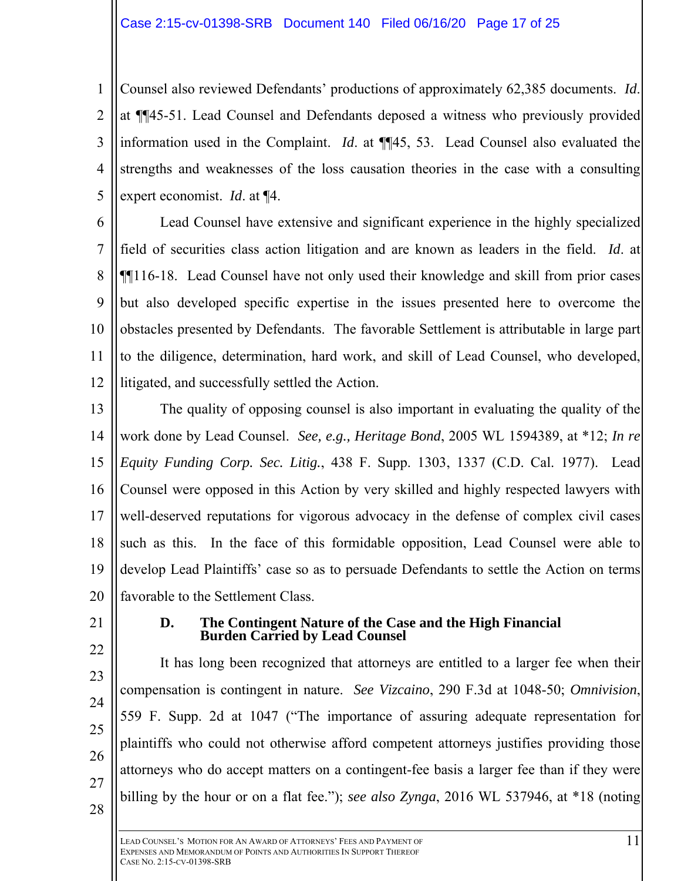1 2 3 4 5 Counsel also reviewed Defendants' productions of approximately 62,385 documents. *Id*. at ¶¶45-51. Lead Counsel and Defendants deposed a witness who previously provided information used in the Complaint. *Id*. at ¶¶45, 53. Lead Counsel also evaluated the strengths and weaknesses of the loss causation theories in the case with a consulting expert economist. *Id*. at ¶4.

6 7 8 9 10 11 12 Lead Counsel have extensive and significant experience in the highly specialized field of securities class action litigation and are known as leaders in the field. *Id*. at ¶¶116-18. Lead Counsel have not only used their knowledge and skill from prior cases but also developed specific expertise in the issues presented here to overcome the obstacles presented by Defendants. The favorable Settlement is attributable in large part to the diligence, determination, hard work, and skill of Lead Counsel, who developed, litigated, and successfully settled the Action.

13 14 15 16 17 18 19 20 The quality of opposing counsel is also important in evaluating the quality of the work done by Lead Counsel. *See, e.g., Heritage Bond*, 2005 WL 1594389, at \*12; *In re Equity Funding Corp. Sec. Litig.*, 438 F. Supp. 1303, 1337 (C.D. Cal. 1977). Lead Counsel were opposed in this Action by very skilled and highly respected lawyers with well-deserved reputations for vigorous advocacy in the defense of complex civil cases such as this. In the face of this formidable opposition, Lead Counsel were able to develop Lead Plaintiffs' case so as to persuade Defendants to settle the Action on terms favorable to the Settlement Class.

21

22

23

25

#### **D. The Contingent Nature of the Case and the High Financial Burden Carried by Lead Counsel**

24 26 It has long been recognized that attorneys are entitled to a larger fee when their compensation is contingent in nature. *See Vizcaino*, 290 F.3d at 1048-50; *Omnivision*, 559 F. Supp. 2d at 1047 ("The importance of assuring adequate representation for plaintiffs who could not otherwise afford competent attorneys justifies providing those attorneys who do accept matters on a contingent-fee basis a larger fee than if they were billing by the hour or on a flat fee."); *see also Zynga*, 2016 WL 537946, at \*18 (noting

28

27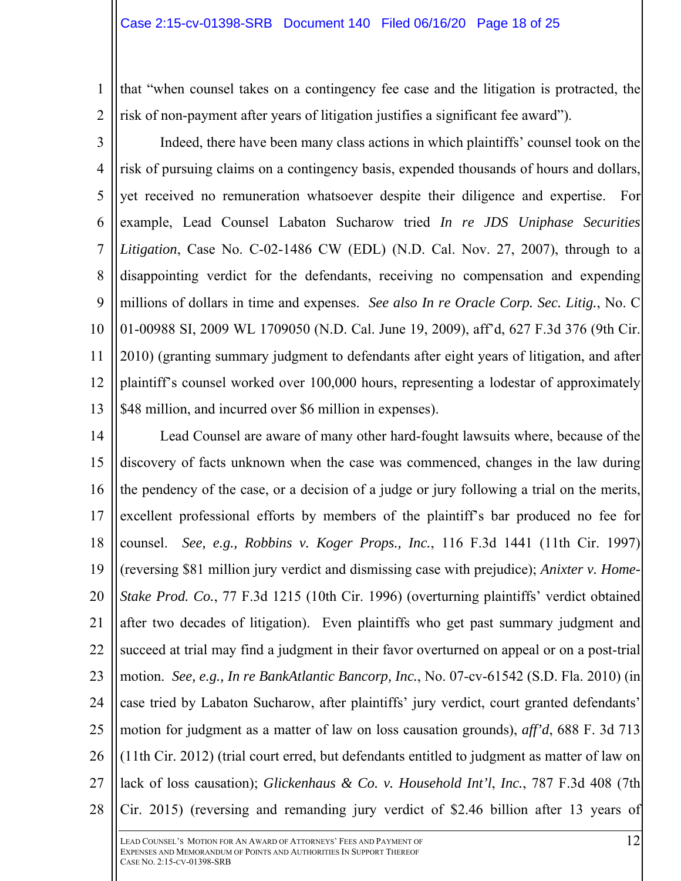1 2 that "when counsel takes on a contingency fee case and the litigation is protracted, the risk of non-payment after years of litigation justifies a significant fee award").

3 4 5 6 7 8 9 10 11 12 13 Indeed, there have been many class actions in which plaintiffs' counsel took on the risk of pursuing claims on a contingency basis, expended thousands of hours and dollars, yet received no remuneration whatsoever despite their diligence and expertise. For example, Lead Counsel Labaton Sucharow tried *In re JDS Uniphase Securities Litigation*, Case No. C-02-1486 CW (EDL) (N.D. Cal. Nov. 27, 2007), through to a disappointing verdict for the defendants, receiving no compensation and expending millions of dollars in time and expenses. *See also In re Oracle Corp. Sec. Litig.*, No. C 01-00988 SI, 2009 WL 1709050 (N.D. Cal. June 19, 2009), aff'd, 627 F.3d 376 (9th Cir. 2010) (granting summary judgment to defendants after eight years of litigation, and after plaintiff's counsel worked over 100,000 hours, representing a lodestar of approximately \$48 million, and incurred over \$6 million in expenses).

14 15 16 17 18 19 20 21 22 23 24 25 26 27 28 Lead Counsel are aware of many other hard-fought lawsuits where, because of the discovery of facts unknown when the case was commenced, changes in the law during the pendency of the case, or a decision of a judge or jury following a trial on the merits, excellent professional efforts by members of the plaintiff's bar produced no fee for counsel. *See, e.g., Robbins v. Koger Props., Inc.*, 116 F.3d 1441 (11th Cir. 1997) (reversing \$81 million jury verdict and dismissing case with prejudice); *Anixter v. Home-Stake Prod. Co.*, 77 F.3d 1215 (10th Cir. 1996) (overturning plaintiffs' verdict obtained after two decades of litigation). Even plaintiffs who get past summary judgment and succeed at trial may find a judgment in their favor overturned on appeal or on a post-trial motion. *See, e.g., In re BankAtlantic Bancorp, Inc.*, No. 07-cv-61542 (S.D. Fla. 2010) (in case tried by Labaton Sucharow, after plaintiffs' jury verdict, court granted defendants' motion for judgment as a matter of law on loss causation grounds), *aff'd*, 688 F. 3d 713 (11th Cir. 2012) (trial court erred, but defendants entitled to judgment as matter of law on lack of loss causation); *Glickenhaus & Co. v. Household Int'l*, *Inc.*, 787 F.3d 408 (7th Cir. 2015) (reversing and remanding jury verdict of \$2.46 billion after 13 years of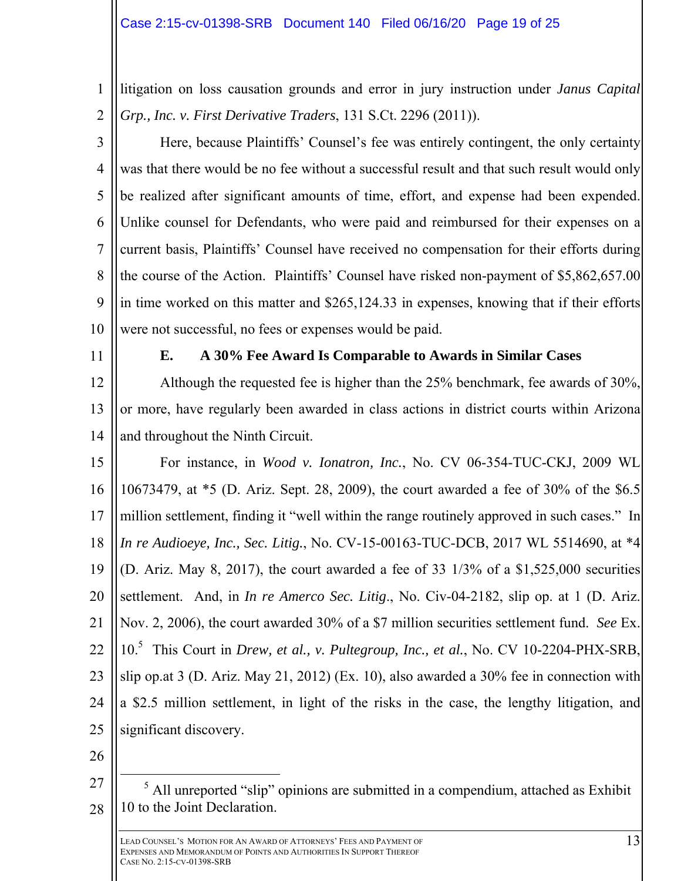1 2 litigation on loss causation grounds and error in jury instruction under *Janus Capital Grp., Inc. v. First Derivative Traders*, 131 S.Ct. 2296 (2011)).

3 4 5 6 7 8  $\mathbf Q$ 10 Here, because Plaintiffs' Counsel's fee was entirely contingent, the only certainty was that there would be no fee without a successful result and that such result would only be realized after significant amounts of time, effort, and expense had been expended. Unlike counsel for Defendants, who were paid and reimbursed for their expenses on a current basis, Plaintiffs' Counsel have received no compensation for their efforts during the course of the Action. Plaintiffs' Counsel have risked non-payment of \$5,862,657.00 in time worked on this matter and \$265,124.33 in expenses, knowing that if their efforts were not successful, no fees or expenses would be paid.

11

# **E. A 30% Fee Award Is Comparable to Awards in Similar Cases**

12 13 14 Although the requested fee is higher than the 25% benchmark, fee awards of 30%, or more, have regularly been awarded in class actions in district courts within Arizona and throughout the Ninth Circuit.

- 15 16 17 18 19 20 21 22 23 24 25 For instance, in *Wood v. Ionatron, Inc.*, No. CV 06-354-TUC-CKJ, 2009 WL 10673479, at \*5 (D. Ariz. Sept. 28, 2009), the court awarded a fee of 30% of the \$6.5 million settlement, finding it "well within the range routinely approved in such cases." In *In re Audioeye, Inc., Sec. Litig.*, No. CV-15-00163-TUC-DCB, 2017 WL 5514690, at \*4 (D. Ariz. May 8, 2017), the court awarded a fee of 33  $1/3\%$  of a \$1,525,000 securities settlement. And, in *In re Amerco Sec. Litig*., No. Civ-04-2182, slip op. at 1 (D. Ariz. Nov. 2, 2006), the court awarded 30% of a \$7 million securities settlement fund. *See* Ex. 10.<sup>5</sup> This Court in *Drew, et al., v. Pultegroup, Inc., et al.*, No. CV 10-2204-PHX-SRB, slip op.at 3 (D. Ariz. May 21, 2012) (Ex. 10), also awarded a 30% fee in connection with a \$2.5 million settlement, in light of the risks in the case, the lengthy litigation, and significant discovery.
- 26
- 27 28  $rac{1}{5}$  $<sup>5</sup>$  All unreported "slip" opinions are submitted in a compendium, attached as Exhibit</sup> 10 to the Joint Declaration.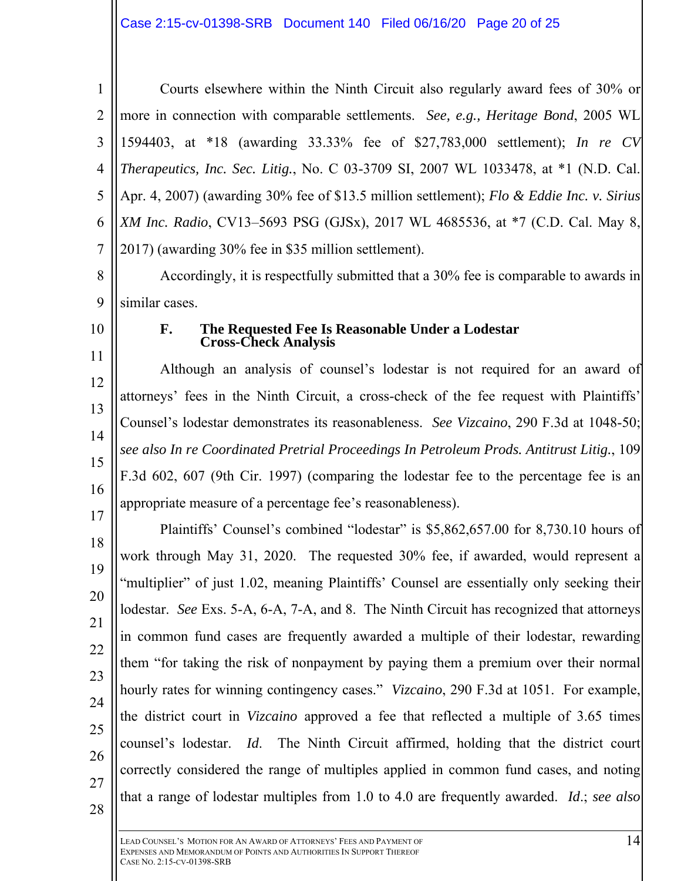1 2 3 4 5 6 7 Courts elsewhere within the Ninth Circuit also regularly award fees of 30% or more in connection with comparable settlements. *See, e.g., Heritage Bond*, 2005 WL 1594403, at \*18 (awarding 33.33% fee of \$27,783,000 settlement); *In re CV Therapeutics, Inc. Sec. Litig.*, No. C 03-3709 SI, 2007 WL 1033478, at \*1 (N.D. Cal. Apr. 4, 2007) (awarding 30% fee of \$13.5 million settlement); *Flo & Eddie Inc. v. Sirius XM Inc. Radio*, CV13–5693 PSG (GJSx), 2017 WL 4685536, at \*7 (C.D. Cal. May 8, 2017) (awarding 30% fee in \$35 million settlement).

8 9 Accordingly, it is respectfully submitted that a 30% fee is comparable to awards in similar cases.

10

11

## **F. The Requested Fee Is Reasonable Under a Lodestar Cross-Check Analysis**

12 13 14 15 16 Although an analysis of counsel's lodestar is not required for an award of attorneys' fees in the Ninth Circuit, a cross-check of the fee request with Plaintiffs' Counsel's lodestar demonstrates its reasonableness. *See Vizcaino*, 290 F.3d at 1048-50; *see also In re Coordinated Pretrial Proceedings In Petroleum Prods. Antitrust Litig.*, 109 F.3d 602, 607 (9th Cir. 1997) (comparing the lodestar fee to the percentage fee is an appropriate measure of a percentage fee's reasonableness).

17 18 19 20 21 22 23 24 25 26 27 28 Plaintiffs' Counsel's combined "lodestar" is \$5,862,657.00 for 8,730.10 hours of work through May 31, 2020. The requested 30% fee, if awarded, would represent a "multiplier" of just 1.02, meaning Plaintiffs' Counsel are essentially only seeking their lodestar. *See* Exs. 5-A, 6-A, 7-A, and 8. The Ninth Circuit has recognized that attorneys in common fund cases are frequently awarded a multiple of their lodestar, rewarding them "for taking the risk of nonpayment by paying them a premium over their normal hourly rates for winning contingency cases." *Vizcaino*, 290 F.3d at 1051. For example, the district court in *Vizcaino* approved a fee that reflected a multiple of 3.65 times counsel's lodestar. *Id*. The Ninth Circuit affirmed, holding that the district court correctly considered the range of multiples applied in common fund cases, and noting that a range of lodestar multiples from 1.0 to 4.0 are frequently awarded. *Id*.; *see also* 

LEAD COUNSEL'S MOTION FOR AN AWARD OF ATTORNEYS' FEES AND PAYMENT OF EXPENSES AND MEMORANDUM OF POINTS AND AUTHORITIES IN SUPPORT THEREOF CASE NO. 2:15-CV-01398-SRB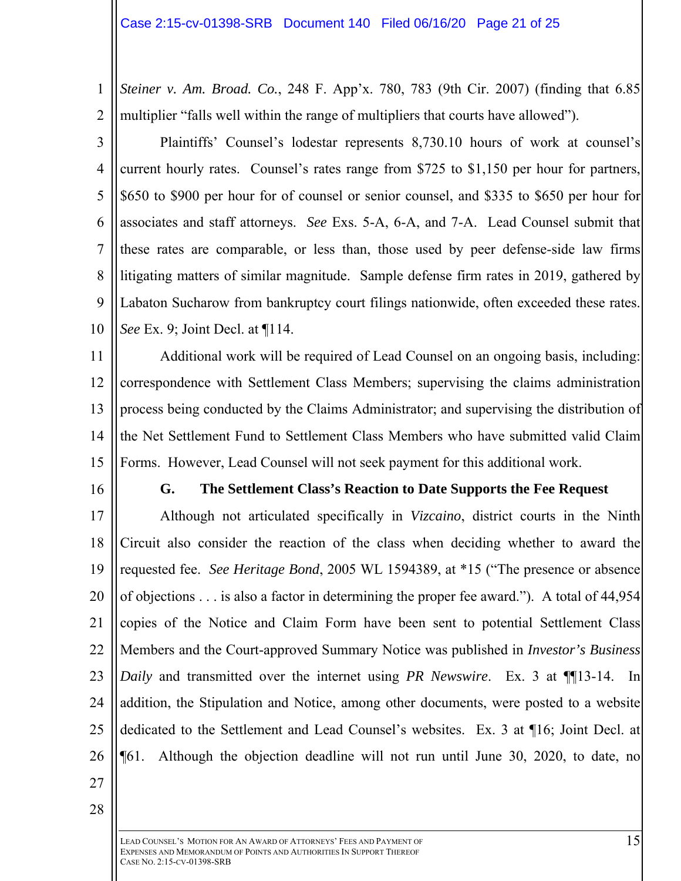1 2 *Steiner v. Am. Broad. Co.*, 248 F. App'x. 780, 783 (9th Cir. 2007) (finding that 6.85 multiplier "falls well within the range of multipliers that courts have allowed").

3 4 5 6 7 8 9 10 Plaintiffs' Counsel's lodestar represents 8,730.10 hours of work at counsel's current hourly rates. Counsel's rates range from \$725 to \$1,150 per hour for partners, \$650 to \$900 per hour for of counsel or senior counsel, and \$335 to \$650 per hour for associates and staff attorneys. *See* Exs. 5-A, 6-A, and 7-A. Lead Counsel submit that these rates are comparable, or less than, those used by peer defense-side law firms litigating matters of similar magnitude. Sample defense firm rates in 2019, gathered by Labaton Sucharow from bankruptcy court filings nationwide, often exceeded these rates. *See* Ex. 9; Joint Decl. at ¶114.

11 12 13 14 15 Additional work will be required of Lead Counsel on an ongoing basis, including: correspondence with Settlement Class Members; supervising the claims administration process being conducted by the Claims Administrator; and supervising the distribution of the Net Settlement Fund to Settlement Class Members who have submitted valid Claim Forms. However, Lead Counsel will not seek payment for this additional work.

16

#### **G. The Settlement Class's Reaction to Date Supports the Fee Request**

17 18 19 20 21 22 23 24 25 26 Although not articulated specifically in *Vizcaino*, district courts in the Ninth Circuit also consider the reaction of the class when deciding whether to award the requested fee. *See Heritage Bond*, 2005 WL 1594389, at \*15 ("The presence or absence of objections . . . is also a factor in determining the proper fee award."). A total of 44,954 copies of the Notice and Claim Form have been sent to potential Settlement Class Members and the Court-approved Summary Notice was published in *Investor's Business Daily* and transmitted over the internet using *PR Newswire*. Ex. 3 at ¶¶13-14. In addition, the Stipulation and Notice, among other documents, were posted to a website dedicated to the Settlement and Lead Counsel's websites. Ex. 3 at ¶16; Joint Decl. at ¶61. Although the objection deadline will not run until June 30, 2020, to date, no

- 27
- 28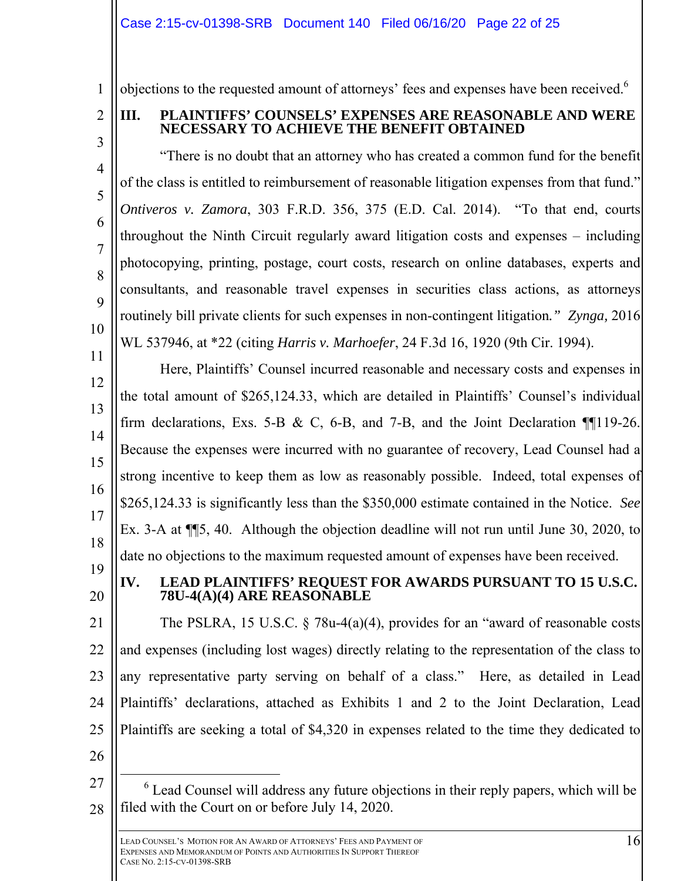objections to the requested amount of attorneys' fees and expenses have been received.<sup>6</sup>

2 3

4

5

6

7

8

9

10

1

# **III. PLAINTIFFS' COUNSELS' EXPENSES ARE REASONABLE AND WERE NECESSARY TO ACHIEVE THE BENEFIT OBTAINED**

"There is no doubt that an attorney who has created a common fund for the benefit of the class is entitled to reimbursement of reasonable litigation expenses from that fund." *Ontiveros v. Zamora*, 303 F.R.D. 356, 375 (E.D. Cal. 2014). "To that end, courts throughout the Ninth Circuit regularly award litigation costs and expenses – including photocopying, printing, postage, court costs, research on online databases, experts and consultants, and reasonable travel expenses in securities class actions, as attorneys routinely bill private clients for such expenses in non-contingent litigation*." Zynga,* 2016 WL 537946, at \*22 (citing *Harris v. Marhoefer*, 24 F.3d 16, 1920 (9th Cir. 1994).

11 12 13 14 15 16 17 18 Here, Plaintiffs' Counsel incurred reasonable and necessary costs and expenses in the total amount of \$265,124.33, which are detailed in Plaintiffs' Counsel's individual firm declarations, Exs. 5-B & C, 6-B, and 7-B, and the Joint Declaration  $\P$ [119-26. Because the expenses were incurred with no guarantee of recovery, Lead Counsel had a strong incentive to keep them as low as reasonably possible. Indeed, total expenses of \$265,124.33 is significantly less than the \$350,000 estimate contained in the Notice. *See* Ex. 3-A at ¶¶5, 40. Although the objection deadline will not run until June 30, 2020, to date no objections to the maximum requested amount of expenses have been received.

19 20

# **IV. LEAD PLAINTIFFS' REQUEST FOR AWARDS PURSUANT TO 15 U.S.C. 78U-4(A)(4) ARE REASONABLE**

21 22  $23$ 24 25 The PSLRA, 15 U.S.C. § 78u-4(a)(4), provides for an "award of reasonable costs and expenses (including lost wages) directly relating to the representation of the class to any representative party serving on behalf of a class." Here, as detailed in Lead Plaintiffs' declarations, attached as Exhibits 1 and 2 to the Joint Declaration, Lead Plaintiffs are seeking a total of \$4,320 in expenses related to the time they dedicated to

- 26
- 27 28  $\overline{\phantom{0}}$  $6$  Lead Counsel will address any future objections in their reply papers, which will be filed with the Court on or before July 14, 2020.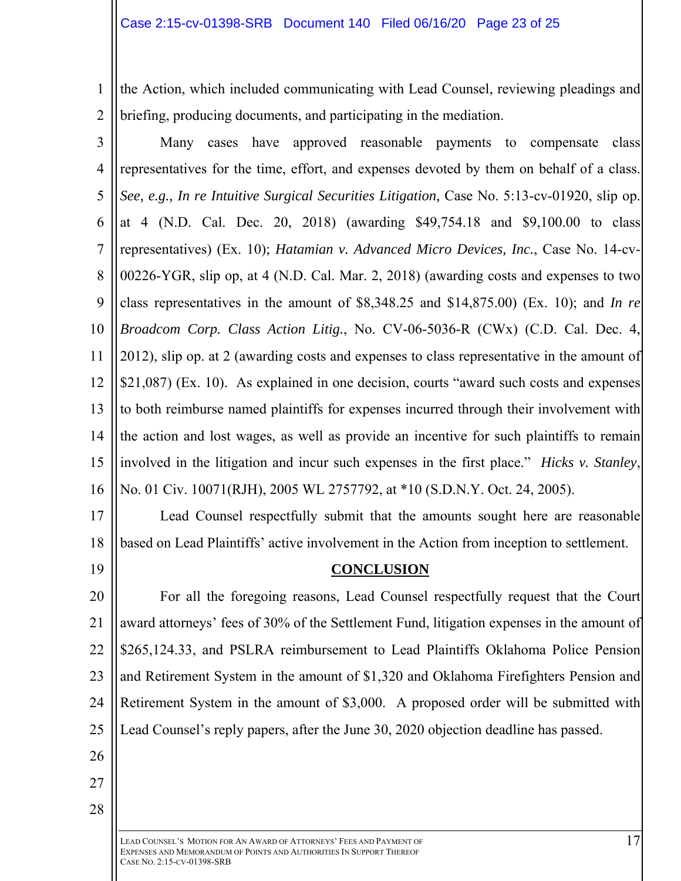1 2 the Action, which included communicating with Lead Counsel, reviewing pleadings and briefing, producing documents, and participating in the mediation.

3 4 5 6 7 8 9 10 11 12 13 14 15 16 Many cases have approved reasonable payments to compensate class representatives for the time, effort, and expenses devoted by them on behalf of a class. *See, e.g., In re Intuitive Surgical Securities Litigation,* Case No. 5:13-cv-01920, slip op. at 4 (N.D. Cal. Dec. 20, 2018) (awarding \$49,754.18 and \$9,100.00 to class representatives) (Ex. 10); *Hatamian v. Advanced Micro Devices, Inc.*, Case No. 14-cv-00226-YGR, slip op, at 4 (N.D. Cal. Mar. 2, 2018) (awarding costs and expenses to two class representatives in the amount of \$8,348.25 and \$14,875.00) (Ex. 10); and *In re Broadcom Corp. Class Action Litig.*, No. CV-06-5036-R (CWx) (C.D. Cal. Dec. 4, 2012), slip op. at 2 (awarding costs and expenses to class representative in the amount of \$21,087) (Ex. 10). As explained in one decision, courts "award such costs and expenses to both reimburse named plaintiffs for expenses incurred through their involvement with the action and lost wages, as well as provide an incentive for such plaintiffs to remain involved in the litigation and incur such expenses in the first place." *Hicks v. Stanley*, No. 01 Civ. 10071(RJH), 2005 WL 2757792, at \*10 (S.D.N.Y. Oct. 24, 2005).

17

18

19

Lead Counsel respectfully submit that the amounts sought here are reasonable based on Lead Plaintiffs' active involvement in the Action from inception to settlement.

# **CONCLUSION**

20 21 22 23 24 25 For all the foregoing reasons, Lead Counsel respectfully request that the Court award attorneys' fees of 30% of the Settlement Fund, litigation expenses in the amount of \$265,124.33, and PSLRA reimbursement to Lead Plaintiffs Oklahoma Police Pension and Retirement System in the amount of \$1,320 and Oklahoma Firefighters Pension and Retirement System in the amount of \$3,000. A proposed order will be submitted with Lead Counsel's reply papers, after the June 30, 2020 objection deadline has passed.

- 26
- 27

28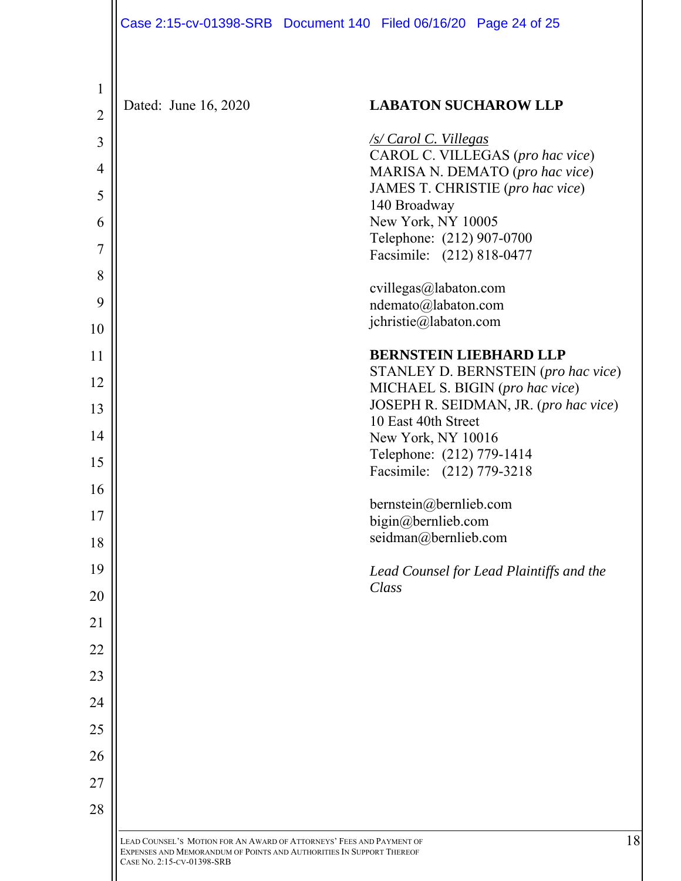| Case 2:15-cv-01398-SRB Document 140 Filed 06/16/20 Page 24 of 25 |  |  |
|------------------------------------------------------------------|--|--|
|                                                                  |  |  |

| $\mathbf{1}$<br>$\overline{2}$ | Dated: June 16, 2020 | <b>LABATON SUCHAROW LLP</b>                                            |
|--------------------------------|----------------------|------------------------------------------------------------------------|
| 3                              |                      | <u>/s/ Carol C. Villegas</u>                                           |
| $\overline{4}$                 |                      | CAROL C. VILLEGAS (pro hac vice)<br>MARISA N. DEMATO (pro hac vice)    |
| 5                              |                      | JAMES T. CHRISTIE (pro hac vice)                                       |
| 6                              |                      | 140 Broadway<br>New York, NY 10005                                     |
| 7                              |                      | Telephone: (212) 907-0700                                              |
| 8                              |                      | Facsimile: (212) 818-0477                                              |
| 9                              |                      | cvillegas@labaton.com<br>ndemato@labaton.com                           |
| 10                             |                      | jchristie@labaton.com                                                  |
| 11                             |                      | <b>BERNSTEIN LIEBHARD LLP</b>                                          |
| 12                             |                      | STANLEY D. BERNSTEIN (pro hac vice)<br>MICHAEL S. BIGIN (pro hac vice) |
| 13                             |                      | JOSEPH R. SEIDMAN, JR. (pro hac vice)                                  |
| 14                             |                      | 10 East 40th Street<br>New York, NY 10016                              |
| 15                             |                      | Telephone: (212) 779-1414                                              |
| 16                             |                      | Facsimile: (212) 779-3218                                              |
| 17                             |                      | bernstein@bernlieb.com<br>bigin@bernlieb.com                           |
| 18                             |                      | seidman@bernlieb.com                                                   |
| 19                             |                      | Lead Counsel for Lead Plaintiffs and the                               |
| 20                             |                      | Class                                                                  |
| 21                             |                      |                                                                        |
| 22                             |                      |                                                                        |
| 23                             |                      |                                                                        |
| 24                             |                      |                                                                        |
| 25                             |                      |                                                                        |
| 26                             |                      |                                                                        |
| 27                             |                      |                                                                        |
| 28                             |                      |                                                                        |